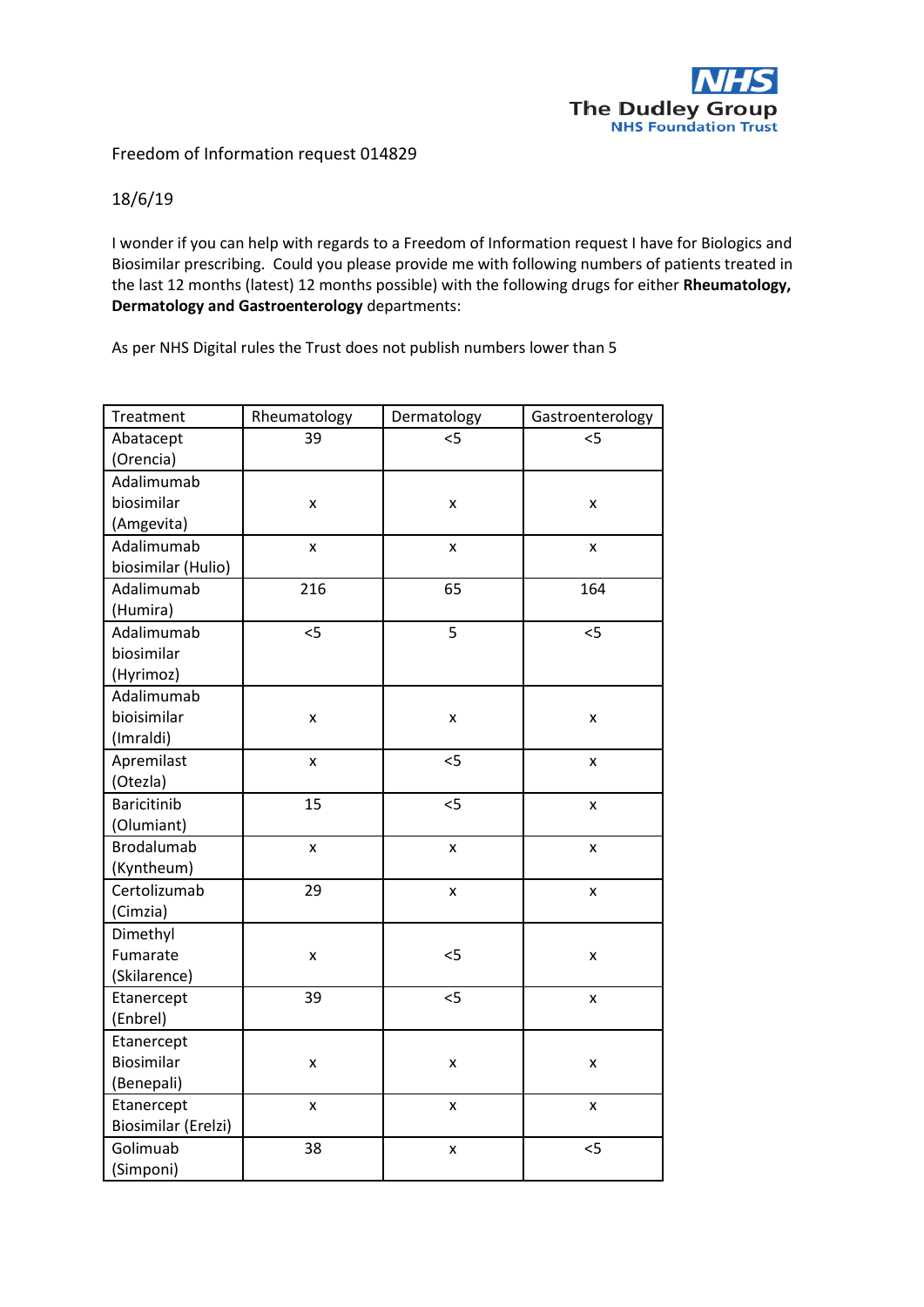

## Freedom of Information request 014829

## 18/6/19

I wonder if you can help with regards to a Freedom of Information request I have for Biologics and Biosimilar prescribing. Could you please provide me with following numbers of patients treated in the last 12 months (latest) 12 months possible) with the following drugs for either **Rheumatology, Dermatology and Gastroenterology** departments:

As per NHS Digital rules the Trust does not publish numbers lower than 5

| Treatment           | Rheumatology       | Dermatology        | Gastroenterology   |
|---------------------|--------------------|--------------------|--------------------|
| Abatacept           | 39                 | 5                  | 5                  |
| (Orencia)           |                    |                    |                    |
| Adalimumab          |                    |                    |                    |
| biosimilar          | X                  | X                  | x                  |
| (Amgevita)          |                    |                    |                    |
| Adalimumab          | $\mathsf{x}$       | $\pmb{\mathsf{x}}$ | $\mathsf{x}$       |
| biosimilar (Hulio)  |                    |                    |                    |
| Adalimumab          | 216                | 65                 | 164                |
| (Humira)            |                    |                    |                    |
| Adalimumab          | 5                  | 5                  | 5                  |
| biosimilar          |                    |                    |                    |
| (Hyrimoz)           |                    |                    |                    |
| Adalimumab          |                    |                    |                    |
| bioisimilar         | Χ                  | X                  | X                  |
| (Imraldi)           |                    |                    |                    |
| Apremilast          | x                  | 5                  | x                  |
| (Otezla)            |                    |                    |                    |
| <b>Baricitinib</b>  | 15                 | 5                  | x                  |
| (Olumiant)          |                    |                    |                    |
| <b>Brodalumab</b>   | $\pmb{\mathsf{x}}$ | $\pmb{\mathsf{x}}$ | $\pmb{\mathsf{x}}$ |
| (Kyntheum)          |                    |                    |                    |
| Certolizumab        | 29                 | X                  | x                  |
| (Cimzia)            |                    |                    |                    |
| Dimethyl            |                    |                    |                    |
| Fumarate            | X                  | $<$ 5              | x                  |
| (Skilarence)        |                    |                    |                    |
| Etanercept          | 39                 | 5                  | X                  |
| (Enbrel)            |                    |                    |                    |
| Etanercept          |                    |                    |                    |
| Biosimilar          | $\pmb{\mathsf{x}}$ | X                  | $\pmb{\mathsf{X}}$ |
| (Benepali)          |                    |                    |                    |
| Etanercept          | $\mathsf{x}$       | $\pmb{\mathsf{x}}$ | $\mathsf{x}$       |
| Biosimilar (Erelzi) |                    |                    |                    |
| Golimuab            | 38                 | X                  | 5                  |
| (Simponi)           |                    |                    |                    |